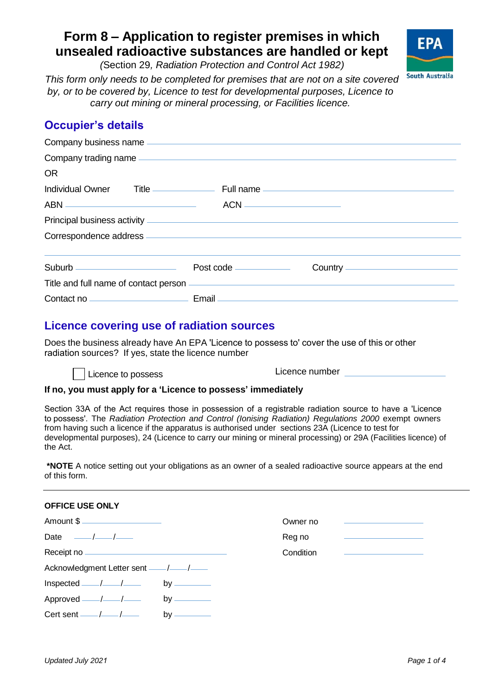# **Form 8 – Application to register premises in which unsealed radioactive substances are handled or kept**

*(*Section 29*, Radiation Protection and Control Act 1982)* 

FPA **South Australia** 

 *carry out mining or mineral processing, or Facilities licence. This form only needs to be completed for premises that are not on a site covered by, or to be covered by, Licence to test for developmental purposes, Licence to*

# **Occupier's details**

| Company business name example and the state of the state of the state of the state of the state of the state of the state of the state of the state of the state of the state of the state of the state of the state of the st      |                             |                                                    |  |  |
|-------------------------------------------------------------------------------------------------------------------------------------------------------------------------------------------------------------------------------------|-----------------------------|----------------------------------------------------|--|--|
|                                                                                                                                                                                                                                     |                             |                                                    |  |  |
| <b>OR</b>                                                                                                                                                                                                                           |                             |                                                    |  |  |
| Individual Owner Title <u>Title</u> Full name The Communication of the Communication of the Communication of the Communication of the Communication of the Communication of the Communication of the Communication of the Communica |                             |                                                    |  |  |
|                                                                                                                                                                                                                                     |                             |                                                    |  |  |
|                                                                                                                                                                                                                                     |                             |                                                    |  |  |
|                                                                                                                                                                                                                                     |                             |                                                    |  |  |
|                                                                                                                                                                                                                                     | Post code <u>examension</u> | Country <u>___________________________________</u> |  |  |
| Title and full name of contact person <u>example and contact</u> and the analysis of the same of contact person examples                                                                                                            |                             |                                                    |  |  |
|                                                                                                                                                                                                                                     |                             |                                                    |  |  |

# **Licence covering use of radiation sources**

 Does the business already have An EPA 'Licence to possess to' cover the use of this or other radiation sources? If yes, state the licence number



## **If no, you must apply for a 'Licence to possess' immediately**

 Section 33A of the Act requires those in possession of a registrable radiation source to have a 'Licence to possess'. The *Radiation Protection and Control (Ionising Radiation) Regulations 2000* exempt owners from having such a licence if the apparatus is authorised under sections 23A (Licence to test for developmental purposes), 24 (Licence to carry our mining or mineral processing) or 29A (Facilities licence) of the Act.

 **\*NOTE** A notice setting out your obligations as an owner of a sealed radioactive source appears at the end of this form.

| <b>OFFICE USE ONLY</b>         |                                                                                             |           |                                                                                                                      |
|--------------------------------|---------------------------------------------------------------------------------------------|-----------|----------------------------------------------------------------------------------------------------------------------|
| Amount \$                      |                                                                                             | Owner no  | the contract of the contract of the contract of                                                                      |
| Date $\frac{\frac{1}{2}}{2}$   |                                                                                             | Reg no    |                                                                                                                      |
|                                |                                                                                             | Condition | <u> 1986 - Antonio Alemania, prima prima prima prima prima prima prima prima prima prima prima prima prima prima</u> |
|                                |                                                                                             |           |                                                                                                                      |
|                                | by $\frac{1}{\sqrt{1-\frac{1}{2}}\sqrt{1-\frac{1}{2}}\left(\frac{1}{2}-\frac{1}{2}\right)}$ |           |                                                                                                                      |
|                                | by $\frac{1}{\sqrt{1-\frac{1}{2}}\sqrt{1-\frac{1}{2}}\left(\frac{1}{2}-\frac{1}{2}\right)}$ |           |                                                                                                                      |
| Cert sent $\frac{\sqrt{2}}{2}$ | by $\frac{1}{2}$                                                                            |           |                                                                                                                      |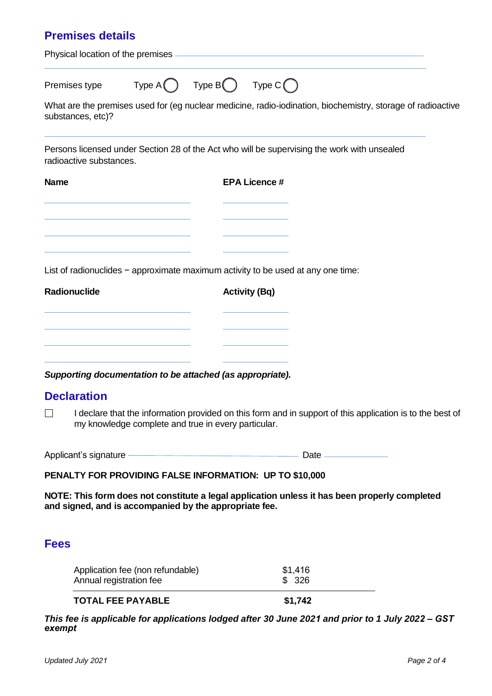| <b>Premises details</b>                                                          |                                          |                      |                                                                                                             |
|----------------------------------------------------------------------------------|------------------------------------------|----------------------|-------------------------------------------------------------------------------------------------------------|
|                                                                                  |                                          |                      |                                                                                                             |
| Premises type                                                                    | $Type A \bigcap Type B$ Type $C \bigcap$ |                      |                                                                                                             |
| substances, etc)?                                                                |                                          |                      | What are the premises used for (eg nuclear medicine, radio-iodination, biochemistry, storage of radioactive |
| radioactive substances.                                                          |                                          |                      | Persons licensed under Section 28 of the Act who will be supervising the work with unsealed                 |
| <b>Name</b>                                                                      |                                          | <b>EPA Licence #</b> |                                                                                                             |
|                                                                                  |                                          |                      |                                                                                                             |
| List of radionuclides - approximate maximum activity to be used at any one time: |                                          |                      |                                                                                                             |
| Radionuclide                                                                     |                                          | <b>Activity (Bq)</b> |                                                                                                             |

|  | the contract of the contract of the contract of                                                                                                                                                                               | $\overline{\phantom{a}}$                                                                                                                                                                                                      |  |
|--|-------------------------------------------------------------------------------------------------------------------------------------------------------------------------------------------------------------------------------|-------------------------------------------------------------------------------------------------------------------------------------------------------------------------------------------------------------------------------|--|
|  |                                                                                                                                                                                                                               |                                                                                                                                                                                                                               |  |
|  | the control of the control of the control of the control of the control of the control of the control of the control of the control of the control of the control of the control of the control of the control of the control | the control of the control of the control of the control of the control of the control of the control of the control of the control of the control of the control of the control of the control of the control of the control |  |
|  |                                                                                                                                                                                                                               |                                                                                                                                                                                                                               |  |
|  |                                                                                                                                                                                                                               |                                                                                                                                                                                                                               |  |
|  | the company of the company of the company of the<br>______                                                                                                                                                                    | $\overline{\phantom{a}}$                                                                                                                                                                                                      |  |

 *Supporting documentation to be attached (as appropriate).* 

## **Declaration**

 □ my knowledge complete and true in every particular. I declare that the information provided on this form and in support of this application is to the best of

Applicant's signature <u>Date Community of the Base of the Base of the Base</u>

#### **PENALTY FOR PROVIDING FALSE INFORMATION: UP TO \$10,000**

 **NOTE: This form does not constitute a legal application unless it has been properly completed and signed, and is accompanied by the appropriate fee.** 

## **Fees**

| Application fee (non refundable) | \$1,416 |
|----------------------------------|---------|
| Annual registration fee          | \$326   |
| <b>TOTAL FEE PAYABLE</b>         | \$1,742 |

 *exempt This fee is applicable for applications lodged after 30 June 2021 and prior to 1 July 2022 – GST*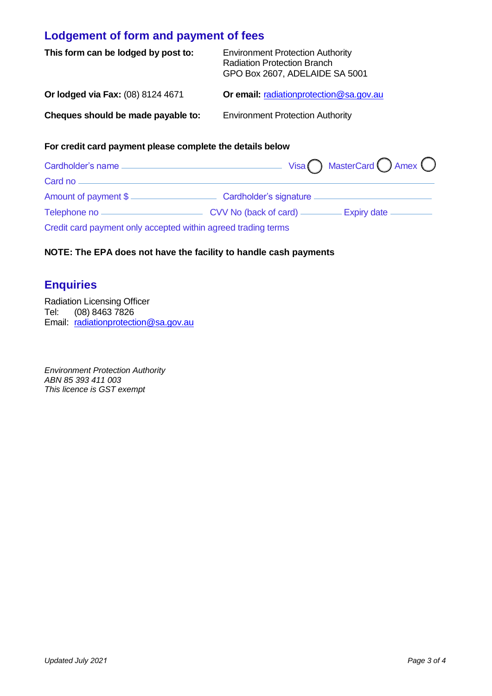# **Lodgement of form and payment of fees**

| This form can be lodged by post to: | <b>Environment Protection Authority</b><br><b>Radiation Protection Branch</b><br>GPO Box 2607, ADELAIDE SA 5001 |
|-------------------------------------|-----------------------------------------------------------------------------------------------------------------|
| Or lodged via Fax: (08) 8124 4671   | <b>Or email: radiationprotection@sa.gov.au</b>                                                                  |
| Cheques should be made payable to:  | <b>Environment Protection Authority</b>                                                                         |

#### **For credit card payment please complete the details below**

| Cardholder's name -                                           | Visa $\bigcap$ MasterCard $\bigcap$ Amex $\bigcirc$ |
|---------------------------------------------------------------|-----------------------------------------------------|
| Card no                                                       |                                                     |
|                                                               | Amount of payment \$                                |
|                                                               |                                                     |
| Credit card payment only accepted within agreed trading terms |                                                     |

### **NOTE: The EPA does not have the facility to handle cash payments**

# **Enquiries**

 Radiation Licensing Officer Tel: (08) 8463 7826 Email: [radiationprotection@sa.gov.au](mailto:radiationprotection@sa.gov.au) 

 *Environment Protection Authority ABN 85 393 411 003 This licence is GST exempt*